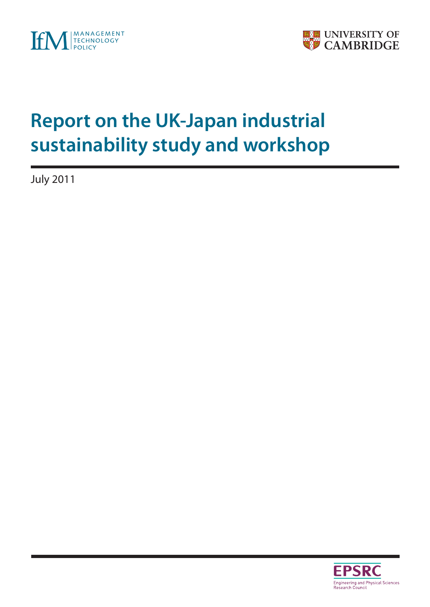



# **Report on the UK-Japan industrial sustainability study and workshop**

July 2011

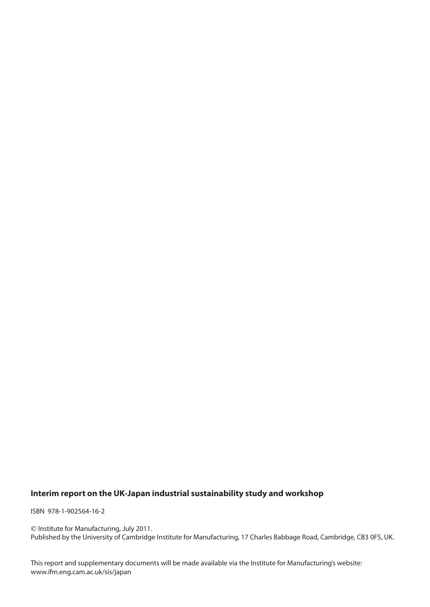### **Interim report on the UK-Japan industrial sustainability study and workshop**

ISBN 978-1-902564-16-2

 Institute for Manufacturing, July 2011. Published by the University of Cambridge Institute for Manufacturing, 17 Charles Babbage Road, Cambridge, CB3 0FS, UK.

This report and supplementary documents will be made available via the Institute for Manufacturing's website: www.ifm.eng.cam.ac.uk/sis/japan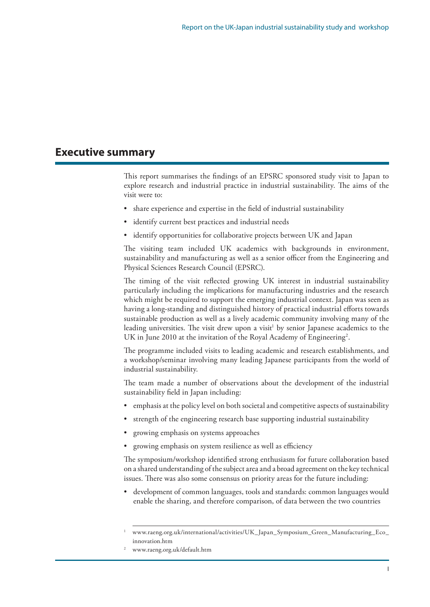## **Executive summary**

This report summarises the findings of an EPSRC sponsored study visit to Japan to explore research and industrial practice in industrial sustainability. The aims of the visit were to:

- share experience and expertise in the field of industrial sustainability
- • identify current best practices and industrial needs
- identify opportunities for collaborative projects between UK and Japan

The visiting team included UK academics with backgrounds in environment, sustainability and manufacturing as well as a senior officer from the Engineering and Physical Sciences Research Council (EPSRC).

The timing of the visit reflected growing UK interest in industrial sustainability particularly including the implications for manufacturing industries and the research which might be required to support the emerging industrial context. Japan was seen as having a long-standing and distinguished history of practical industrial efforts towards sustainable production as well as a lively academic community involving many of the leading universities. The visit drew upon a visit<sup>1</sup> by senior Japanese academics to the UK in June 2010 at the invitation of the Royal Academy of Engineering<sup>2</sup>.

The programme included visits to leading academic and research establishments, and a workshop/seminar involving many leading Japanese participants from the world of industrial sustainability.

The team made a number of observations about the development of the industrial sustainability field in Japan including:

- emphasis at the policy level on both societal and competitive aspects of sustainability
- strength of the engineering research base supporting industrial sustainability
- growing emphasis on systems approaches
- growing emphasis on system resilience as well as efficiency

The symposium/workshop identified strong enthusiasm for future collaboration based on a shared understanding of thesubject area and a broad agreement on the key technical issues. There was also some consensus on priority areas for the future including:

development of common languages, tools and standards: common languages would enable the sharing, and therefore comparison, of data between the two countries

<sup>1</sup> www.raeng.org.uk/international/activities/UK\_Japan\_Symposium\_Green\_Manufacturing\_Eco\_ innovation.htm

<sup>2</sup> www.raeng.org.uk/default.htm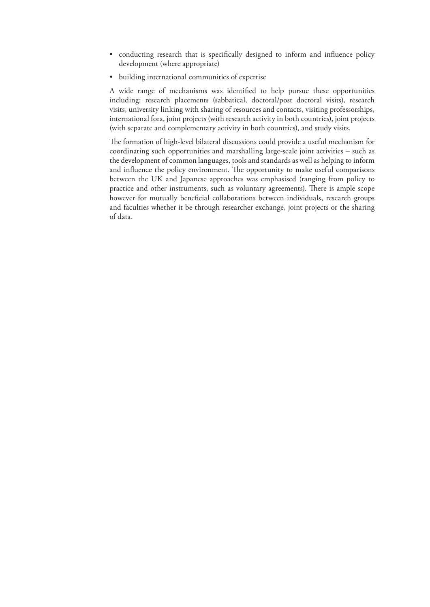- conducting research that is specifically designed to inform and influence policy development (where appropriate)
- • building international communities of expertise

A wide range of mechanisms was identified to help pursue these opportunities including: research placements (sabbatical, doctoral/post doctoral visits), research visits, university linking with sharing of resources and contacts, visiting professorships, international fora, joint projects (with research activity in both countries), joint projects (with separate and complementary activity in both countries), and study visits.

The formation of high-level bilateral discussions could provide a useful mechanism for coordinating such opportunities and marshalling large-scale joint activities – such as the development of common languages, tools and standards as well as helping to inform and influence the policy environment. The opportunity to make useful comparisons between the UK and Japanese approaches was emphasised (ranging from policy to practice and other instruments, such as voluntary agreements). There is ample scope however for mutually beneficial collaborations between individuals, research groups and faculties whether it be through researcher exchange, joint projects or the sharing of data.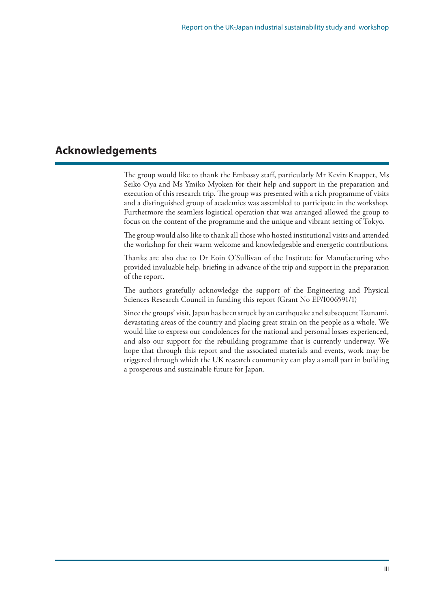# **Acknowledgements**

The group would like to thank the Embassy staff, particularly Mr Kevin Knappet, Ms Seiko Oya and Ms Ymiko Myoken for their help and support in the preparation and execution of this research trip. The group was presented with a rich programme of visits and a distinguished group of academics was assembled to participate in the workshop. Furthermore the seamless logistical operation that was arranged allowed the group to focus on the content of the programme and the unique and vibrant setting of Tokyo.

The group would also like to thank all those who hosted institutional visits and attended the workshop for their warm welcome and knowledgeable and energetic contributions.

Thanks are also due to Dr Eoin O'Sullivan of the Institute for Manufacturing who provided invaluable help, briefing in advance of the trip and support in the preparation of the report.

The authors gratefully acknowledge the support of the Engineering and Physical Sciences Research Council in funding this report (Grant No EP/I006591/1)

Since the groups' visit, Japan has been struck by an earthquake and subsequent Tsunami, devastating areas of the country and placing great strain on the people as a whole. We would like to express our condolences for the national and personal losses experienced, and also our support for the rebuilding programme that is currently underway. We hope that through this report and the associated materials and events, work may be triggered through which the UK research community can play a small part in building a prosperous and sustainable future for Japan.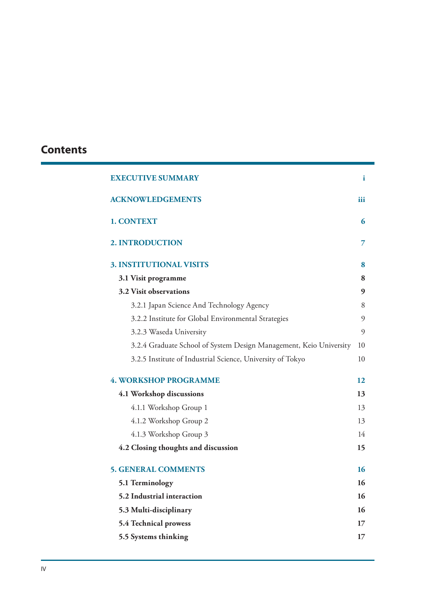# **Contents**

| <b>EXECUTIVE SUMMARY</b>                                           | i   |
|--------------------------------------------------------------------|-----|
| <b>ACKNOWLEDGEMENTS</b>                                            | iii |
| 1. CONTEXT                                                         | 6   |
| 2. INTRODUCTION                                                    | 7   |
| <b>3. INSTITUTIONAL VISITS</b>                                     | 8   |
| 3.1 Visit programme                                                | 8   |
| 3.2 Visit observations                                             | 9   |
| 3.2.1 Japan Science And Technology Agency                          | 8   |
| 3.2.2 Institute for Global Environmental Strategies                | 9   |
| 3.2.3 Waseda University                                            | 9   |
| 3.2.4 Graduate School of System Design Management, Keio University | 10  |
| 3.2.5 Institute of Industrial Science, University of Tokyo         | 10  |
| <b>4. WORKSHOP PROGRAMME</b>                                       | 12  |
| 4.1 Workshop discussions                                           | 13  |
| 4.1.1 Workshop Group 1                                             | 13  |
| 4.1.2 Workshop Group 2                                             | 13  |
| 4.1.3 Workshop Group 3                                             | 14  |
| 4.2 Closing thoughts and discussion                                | 15  |
| <b>5. GENERAL COMMENTS</b>                                         | 16  |
| 5.1 Terminology                                                    | 16  |
| 5.2 Industrial interaction                                         | 16  |
| 5.3 Multi-disciplinary                                             | 16  |
| 5.4 Technical prowess                                              | 17  |
| 5.5 Systems thinking                                               | 17  |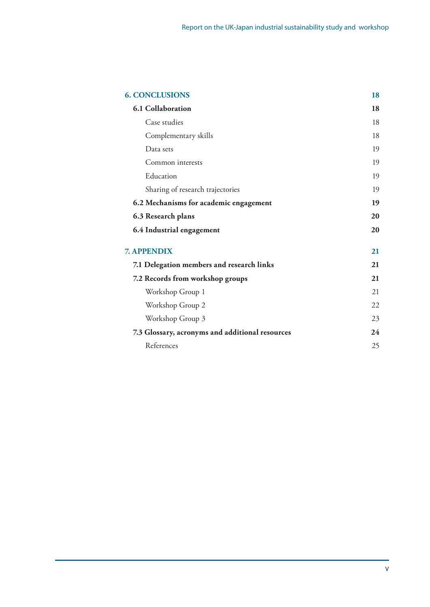| <b>6. CONCLUSIONS</b>                           | 18 |
|-------------------------------------------------|----|
| <b>6.1 Collaboration</b>                        | 18 |
| Case studies                                    | 18 |
| Complementary skills                            | 18 |
| Data sets                                       | 19 |
| Common interests                                | 19 |
| Education                                       | 19 |
| Sharing of research trajectories                | 19 |
| 6.2 Mechanisms for academic engagement          | 19 |
| 6.3 Research plans                              | 20 |
| 6.4 Industrial engagement                       | 20 |
| <b>7. APPENDIX</b>                              | 21 |
| 7.1 Delegation members and research links       | 21 |
| 7.2 Records from workshop groups                | 21 |
| Workshop Group 1                                | 21 |
| Workshop Group 2                                | 22 |
| Workshop Group 3                                | 23 |
| 7.3 Glossary, acronyms and additional resources | 24 |
| References                                      | 25 |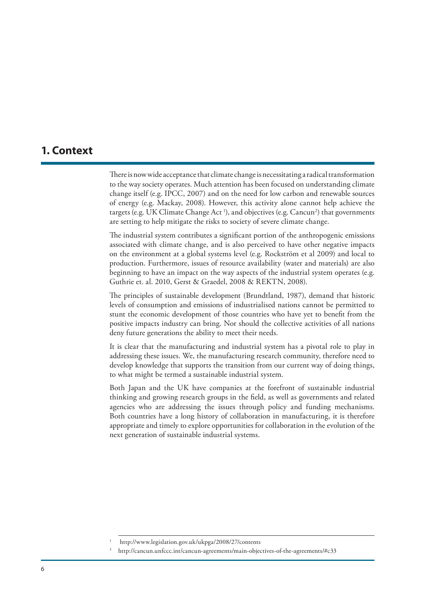## **1. Context**

There is now wide acceptance that climate change is necessitating a radical transformation to the way society operates. Much attention has been focused on understanding climate change itself (e.g. IPCC, 2007) and on the need for low carbon and renewable sources of energy (e.g. Mackay, 2008). However, this activity alone cannot help achieve the targets (e.g. UK Climate Change Act <sup>1</sup>), and objectives (e.g. Cancun<sup>2</sup>) that governments are setting to help mitigate the risks to society of severe climate change.

The industrial system contributes a significant portion of the anthropogenic emissions associated with climate change, and is also perceived to have other negative impacts on the environment at a global systems level (e.g. Rockström et al 2009) and local to production. Furthermore, issues of resource availability (water and materials) are also beginning to have an impact on the way aspects of the industrial system operates (e.g. Guthrie et. al. 2010, Gerst & Graedel, 2008 & REKTN, 2008).

The principles of sustainable development (Brundtland, 1987), demand that historic levels of consumption and emissions of industrialised nations cannot be permitted to stunt the economic development of those countries who have yet to benefit from the positive impacts industry can bring. Nor should the collective activities of all nations deny future generations the ability to meet their needs.

It is clear that the manufacturing and industrial system has a pivotal role to play in addressing these issues. We, the manufacturing research community, therefore need to develop knowledge that supports the transition from our current way of doing things, to what might be termed a sustainable industrial system.

Both Japan and the UK have companies at the forefront of sustainable industrial thinking and growing research groups in the field, as well as governments and related agencies who are addressing the issues through policy and funding mechanisms. Both countries have a long history of collaboration in manufacturing, it is therefore appropriate and timely to explore opportunities for collaboration in the evolution of the next generation of sustainable industrial systems.

http://www.legislation.gov.uk/ukpga/2008/27/contents

<sup>2</sup> http://cancun.unfccc.int/cancun-agreements/main-objectives-of-the-agreements/#c33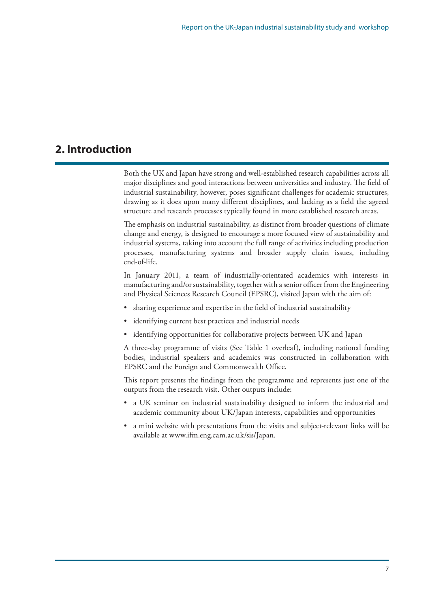# **2. Introduction**

Both the UK and Japan have strong and well-established research capabilities across all major disciplines and good interactions between universities and industry. The field of industrial sustainability, however, poses significant challenges for academic structures, drawing as it does upon many different disciplines, and lacking as a field the agreed structure and research processes typically found in more established research areas.

The emphasis on industrial sustainability, as distinct from broader questions of climate change and energy, is designed to encourage a more focused view of sustainability and industrial systems, taking into account the full range of activities including production processes, manufacturing systems and broader supply chain issues, including end-of-life.

In January 2011, a team of industrially-orientated academics with interests in manufacturing and/or sustainability, together with a senior officer from the Engineering and Physical Sciences Research Council (EPSRC), visited Japan with the aim of:

- sharing experience and expertise in the field of industrial sustainability
- • identifying current best practices and industrial needs
- • identifying opportunities for collaborative projects between UK and Japan

A three-day programme of visits (See Table 1 overleaf), including national funding bodies, industrial speakers and academics was constructed in collaboration with EPSRC and the Foreign and Commonwealth Office.

This report presents the findings from the programme and represents just one of the outputs from the research visit. Other outputs include:

- a UK seminar on industrial sustainability designed to inform the industrial and academic community about UK/Japan interests, capabilities and opportunities
- a mini website with presentations from the visits and subject-relevant links will be available at www.ifm.eng.cam.ac.uk/sis/Japan.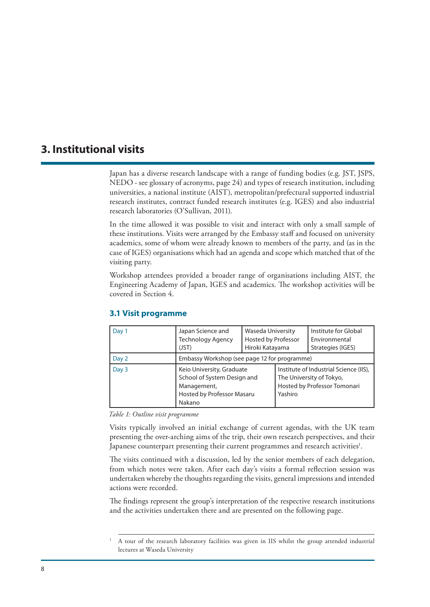## **3. Institutional visits**

Japan has a diverse research landscape with a range of funding bodies (e.g. JST, JSPS, NEDO - see glossary of acronyms, page 24) and types of research institution, including universities, a national institute (AIST), metropolitan/prefectural supported industrial research institutes, contract funded research institutes (e.g. IGES) and also industrial research laboratories (O'Sullivan, 2011).

In the time allowed it was possible to visit and interact with only a small sample of these institutions. Visits were arranged by the Embassy staff and focused on university academics, some of whom were already known to members of the party, and (as in the case of IGES) organisations which had an agenda and scope which matched that of the visiting party.

Workshop attendees provided a broader range of organisations including AIST, the Engineering Academy of Japan, IGES and academics. The workshop activities will be covered in Section 4.

| Day 1 | Japan Science and<br><b>Technology Agency</b><br>(JST)                                                          | Waseda University<br>Hosted by Professor<br>Hiroki Katayama |                                                                                                               | Institute for Global<br>Environmental<br>Strategies (IGES) |  |
|-------|-----------------------------------------------------------------------------------------------------------------|-------------------------------------------------------------|---------------------------------------------------------------------------------------------------------------|------------------------------------------------------------|--|
| Day 2 | Embassy Workshop (see page 12 for programme)                                                                    |                                                             |                                                                                                               |                                                            |  |
| Day 3 | Keio University, Graduate<br>School of System Design and<br>Management,<br>Hosted by Professor Masaru<br>Nakano |                                                             | Institute of Industrial Science (IIS),<br>The University of Tokyo,<br>Hosted by Professor Tomonari<br>Yashiro |                                                            |  |

#### **3.1 Visit programme**

*Table 1: Outline visit programme*

Visits typically involved an initial exchange of current agendas, with the UK team presenting the over-arching aims of the trip, their own research perspectives, and their Japanese counterpart presenting their current programmes and research activities<sup>1</sup>.

The visits continued with a discussion, led by the senior members of each delegation, from which notes were taken. After each day's visits a formal reflection session was undertaken whereby the thoughts regarding the visits, general impressions and intended actions were recorded.

The findings represent the group's interpretation of the respective research institutions and the activities undertaken there and are presented on the following page.

<sup>1</sup> A tour of the research laboratory facilities was given in IIS whilst the group attended industrial lectures at Waseda University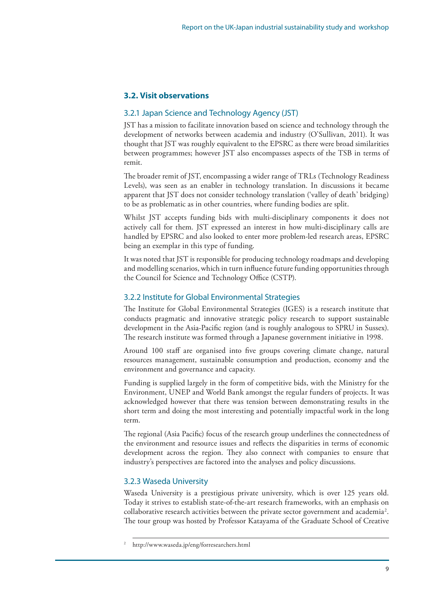#### **3.2. Visit observations**

#### 3.2.1 Japan Science and Technology Agency (JST)

JST has a mission to facilitate innovation based on science and technology through the development of networks between academia and industry (O'Sullivan, 2011). It was thought that JST was roughly equivalent to the EPSRC as there were broad similarities between programmes; however JST also encompasses aspects of the TSB in terms of remit.

The broader remit of JST, encompassing a wider range of TRLs (Technology Readiness Levels), was seen as an enabler in technology translation. In discussions it became apparent that JST does not consider technology translation ('valley of death' bridging) to be as problematic as in other countries, where funding bodies are split.

Whilst JST accepts funding bids with multi-disciplinary components it does not actively call for them. JST expressed an interest in how multi-disciplinary calls are handled by EPSRC and also looked to enter more problem-led research areas, EPSRC being an exemplar in this type of funding.

It was noted that JST is responsible for producing technology roadmaps and developing and modelling scenarios, which in turn influence future funding opportunities through the Council for Science and Technology Office (CSTP).

#### 3.2.2 Institute for Global Environmental Strategies

The Institute for Global Environmental Strategies (IGES) is a research institute that conducts pragmatic and innovative strategic policy research to support sustainable development in the Asia-Pacific region (and is roughly analogous to SPRU in Sussex). The research institute was formed through a Japanese government initiative in 1998.

Around 100 staff are organised into five groups covering climate change, natural resources management, sustainable consumption and production, economy and the environment and governance and capacity.

Funding is supplied largely in the form of competitive bids, with the Ministry for the Environment, UNEP and World Bank amongst the regular funders of projects. It was acknowledged however that there was tension between demonstrating results in the short term and doing the most interesting and potentially impactful work in the long term.

The regional (Asia Pacific) focus of the research group underlines the connectedness of the environment and resource issues and reflects the disparities in terms of economic development across the region. They also connect with companies to ensure that industry's perspectives are factored into the analyses and policy discussions.

#### 3.2.3 Waseda University

Waseda University is a prestigious private university, which is over 125 years old. Today it strives to establish state-of-the-art research frameworks, with an emphasis on  $\alpha$ collaborative research activities between the private sector government and academia<sup>2</sup>. The tour group was hosted by Professor Katayama of the Graduate School of Creative

<sup>2</sup> http://www.waseda.jp/eng/forresearchers.html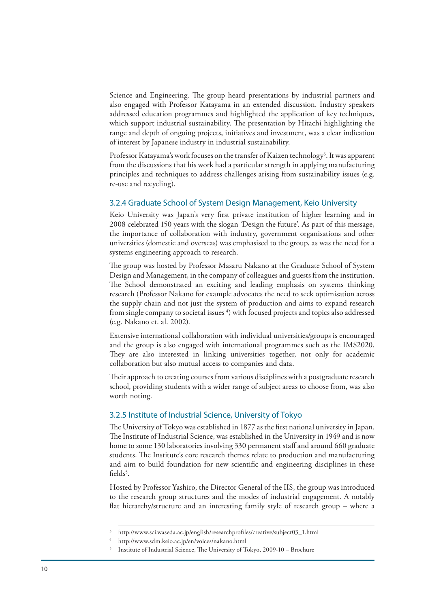Science and Engineering. The group heard presentations by industrial partners and also engaged with Professor Katayama in an extended discussion. Industry speakers addressed education programmes and highlighted the application of key techniques, which support industrial sustainability. The presentation by Hitachi highlighting the range and depth of ongoing projects, initiatives and investment, was a clear indication of interest by Japanese industry in industrial sustainability.

Professor Katayama's work focuses on the transfer of Kaizen technology<sup>3</sup>. It was apparent from the discussions that his work had a particular strength in applying manufacturing principles and techniques to address challenges arising from sustainability issues (e.g. re-use and recycling).

#### 3.2.4 Graduate School of System Design Management, Keio University

Keio University was Japan's very first private institution of higher learning and in 2008 celebrated 150 years with the slogan 'Design the future'. As part of this message, the importance of collaboration with industry, government organisations and other universities (domestic and overseas) was emphasised to the group, as was the need for a systems engineering approach to research.

The group was hosted by Professor Masaru Nakano at the Graduate School of System Design and Management, in the company of colleagues and guests from the institution. The School demonstrated an exciting and leading emphasis on systems thinking research (Professor Nakano for example advocates the need to seek optimisation across the supply chain and not just the system of production and aims to expand research from single company to societal issues  $^4)$  with focused projects and topics also addressed (e.g. Nakano et. al. 2002).

Extensive international collaboration with individual universities/groups is encouraged and the group is also engaged with international programmes such as the IMS2020. They are also interested in linking universities together, not only for academic collaboration but also mutual access to companies and data.

Their approach to creating courses from various disciplines with a postgraduate research school, providing students with a wider range of subject areas to choose from, was also worth noting.

#### 3.2.5 Institute of Industrial Science, University of Tokyo

The University of Tokyo was established in 1877 as the first national university in Japan. The Institute of Industrial Science, was established in the University in 1949 and is now home to some 130 laboratories involving 330 permanent staff and around 660 graduate students. The Institute's core research themes relate to production and manufacturing and aim to build foundation for new scientific and engineering disciplines in these fields<sup>5</sup>.

Hosted by Professor Yashiro, the Director General of the IIS, the group was introduced to the research group structures and the modes of industrial engagement. A notably flat hierarchy/structure and an interesting family style of research group – where a

<sup>3</sup> http://www.sci.waseda.ac.jp/english/researchprofiles/creative/subject03\_1.html

<sup>4</sup> http://www.sdm.keio.ac.jp/en/voices/nakano.html

<sup>5</sup> Institute of Industrial Science, The University of Tokyo, 2009-10 – Brochure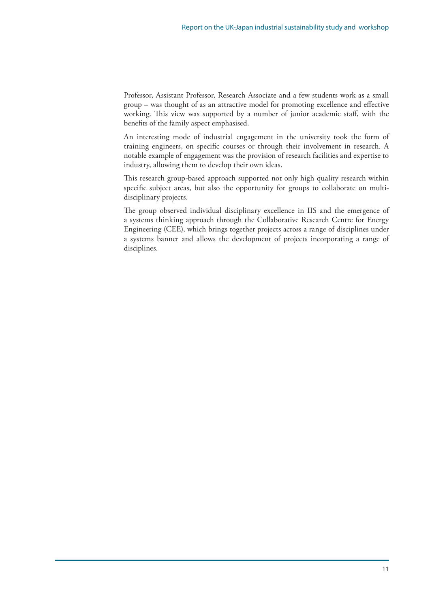Professor, Assistant Professor, Research Associate and a few students work as a small group – was thought of as an attractive model for promoting excellence and effective working. This view was supported by a number of junior academic staff, with the benefits of the family aspect emphasised.

An interesting mode of industrial engagement in the university took the form of training engineers, on specific courses or through their involvement in research. A notable example of engagement was the provision of research facilities and expertise to industry, allowing them to develop their own ideas.

This research group-based approach supported not only high quality research within specific subject areas, but also the opportunity for groups to collaborate on multidisciplinary projects.

The group observed individual disciplinary excellence in IIS and the emergence of a systems thinking approach through the Collaborative Research Centre for Energy Engineering (CEE), which brings together projects across a range of disciplines under a systems banner and allows the development of projects incorporating a range of disciplines.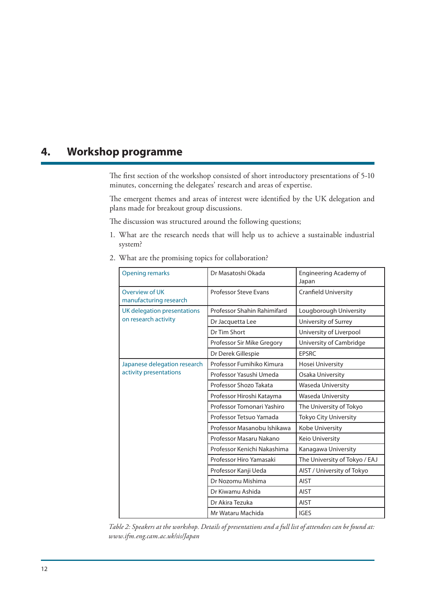## **4. Workshop programme**

The first section of the workshop consisted of short introductory presentations of 5-10 minutes, concerning the delegates' research and areas of expertise.

The emergent themes and areas of interest were identified by the UK delegation and plans made for breakout group discussions.

The discussion was structured around the following questions;

- 1. What are the research needs that will help us to achieve a sustainable industrial system?
- 2. What are the promising topics for collaboration?

| <b>Opening remarks</b>                                 | Dr Masatoshi Okada           | Engineering Academy of<br>Japan |  |
|--------------------------------------------------------|------------------------------|---------------------------------|--|
| Overview of UK<br>manufacturing research               | <b>Professor Steve Evans</b> | Cranfield University            |  |
| UK delegation presentations<br>on research activity    | Professor Shahin Rahimifard  | Lougborough University          |  |
|                                                        | Dr Jacquetta Lee             | University of Surrey            |  |
|                                                        | Dr Tim Short                 | University of Liverpool         |  |
|                                                        | Professor Sir Mike Gregory   | University of Cambridge         |  |
|                                                        | Dr Derek Gillespie           | <b>EPSRC</b>                    |  |
| Japanese delegation research<br>activity presentations | Professor Fumihiko Kimura    | Hosei University                |  |
|                                                        | Professor Yasushi Umeda      | Osaka University                |  |
|                                                        | Professor Shozo Takata       | Waseda University               |  |
|                                                        | Professor Hiroshi Katayma    | Waseda University               |  |
|                                                        | Professor Tomonari Yashiro   | The University of Tokyo         |  |
|                                                        | Professor Tetsuo Yamada      | <b>Tokyo City University</b>    |  |
|                                                        | Professor Masanobu Ishikawa  | Kobe University                 |  |
|                                                        | Professor Masaru Nakano      | Keio University                 |  |
|                                                        | Professor Kenichi Nakashima  | Kanagawa University             |  |
|                                                        | Professor Hiro Yamasaki      | The University of Tokyo / EAJ   |  |
|                                                        | Professor Kanji Ueda         | AIST / University of Tokyo      |  |
|                                                        | Dr Nozomu Mishima            | <b>AIST</b>                     |  |
|                                                        | Dr Kiwamu Ashida             | <b>AIST</b>                     |  |
|                                                        | Dr Akira Tezuka              | <b>AIST</b>                     |  |
|                                                        | Mr Wataru Machida            | <b>IGES</b>                     |  |

*Table 2: Speakers at the workshop. Details of presentations and a full list of attendees can be found at: www.ifm.eng.cam.ac.uk/sis/Japan*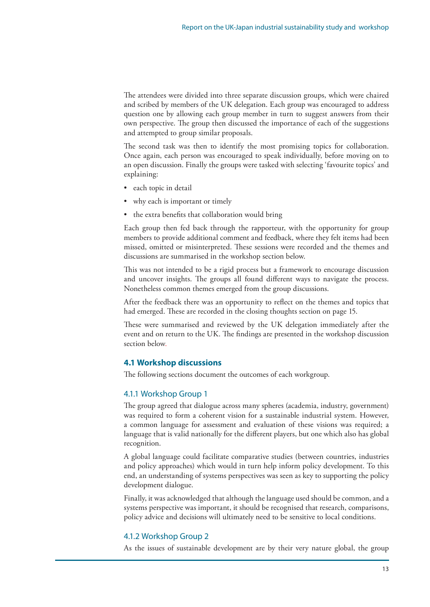The attendees were divided into three separate discussion groups, which were chaired and scribed by members of the UK delegation. Each group was encouraged to address question one by allowing each group member in turn to suggest answers from their own perspective. The group then discussed the importance of each of the suggestions and attempted to group similar proposals.

The second task was then to identify the most promising topics for collaboration. Once again, each person was encouraged to speak individually, before moving on to an open discussion. Finally the groups were tasked with selecting 'favourite topics' and explaining:

- • each topic in detail
- why each is important or timely
- the extra benefits that collaboration would bring

Each group then fed back through the rapporteur, with the opportunity for group members to provide additional comment and feedback, where they felt items had been missed, omitted or misinterpreted. These sessions were recorded and the themes and discussions are summarised in the workshop section below.

This was not intended to be a rigid process but a framework to encourage discussion and uncover insights. The groups all found different ways to navigate the process. Nonetheless common themes emerged from the group discussions.

After the feedback there was an opportunity to reflect on the themes and topics that had emerged. These are recorded in the closing thoughts section on page 15.

These were summarised and reviewed by the UK delegation immediately after the event and on return to the UK. The findings are presented in the workshop discussion section below.

#### **4.1 Workshop discussions**

The following sections document the outcomes of each workgroup.

#### 4.1.1 Workshop Group 1

The group agreed that dialogue across many spheres (academia, industry, government) was required to form a coherent vision for a sustainable industrial system. However, a common language for assessment and evaluation of these visions was required; a language that is valid nationally for the different players, but one which also has global recognition.

A global language could facilitate comparative studies (between countries, industries and policy approaches) which would in turn help inform policy development. To this end, an understanding of systems perspectives was seen as key to supporting the policy development dialogue.

Finally, it was acknowledged that although thelanguage used should be common, and a systems perspective was important, it should be recognised that research, comparisons, policy advice and decisions will ultimately need to be sensitive to local conditions.

#### 4.1.2 Workshop Group 2

As the issues of sustainable development are by their very nature global, the group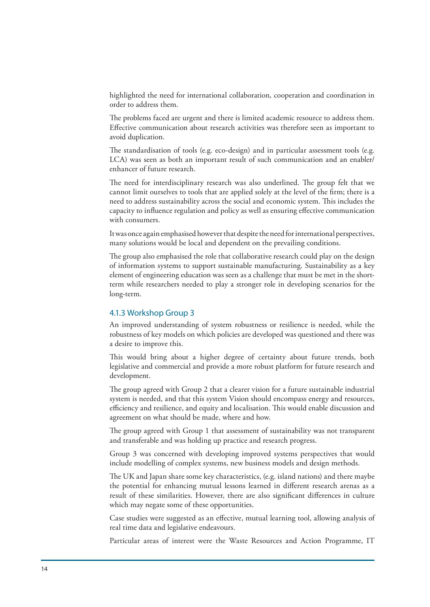highlighted the need for international collaboration, cooperation and coordination in order to address them.

The problems faced are urgent and there is limited academic resource to address them. Effective communication about research activities was therefore seen as important to avoid duplication.

The standardisation of tools (e.g. eco-design) and in particular assessment tools (e.g. LCA) was seen as both an important result of such communication and an enabler/ enhancer of future research.

The need for interdisciplinary research was also underlined. The group felt that we cannot limit ourselves to tools that are applied solely at the level of the firm; there is a need to address sustainability across the social and economic system. This includes the capacity to influence regulation and policy as well as ensuring effective communication with consumers.

It was once again emphasised however that despite the need for international perspectives, many solutions would be local and dependent on the prevailing conditions.

The group also emphasised the role that collaborative research could play on the design of information systems to support sustainable manufacturing. Sustainability as a key element of engineering education was seen as a challenge that must be met in the shortterm while researchers needed to play a stronger role in developing scenarios for the long-term.

#### 4.1.3 Workshop Group 3

An improved understanding of system robustness or resilience is needed, while the robustness of key models on which policies are developed was questioned and there was a desire to improve this.

This would bring about a higher degree of certainty about future trends, both legislative and commercial and provide a more robust platform for future research and development.

The group agreed with Group 2 that a clearer vision for a future sustainable industrial system is needed, and that this system Vision should encompass energy and resources, efficiency and resilience, and equity and localisation. This would enable discussion and agreement on what should be made, where and how.

The group agreed with Group 1 that assessment of sustainability was not transparent and transferable and was holding up practice and research progress.

Group 3 was concerned with developing improved systems perspectives that would include modelling of complex systems, new business models and design methods.

The UK and Japan share some key characteristics, (e.g. island nations) and there maybe the potential for enhancing mutual lessons learned in different research arenas as a result of these similarities. However, there are also significant differences in culture which may negate some of these opportunities.

Case studies were suggested as an effective, mutual learning tool, allowing analysis of real time data and legislative endeavours.

Particular areas of interest were the Waste Resources and Action Programme, IT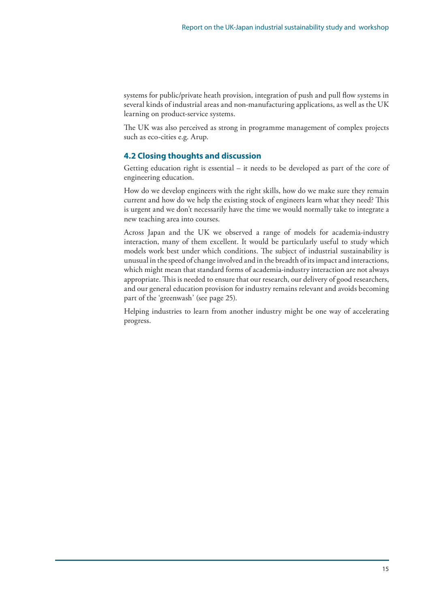systems for public/private heath provision, integration of push and pull flow systems in several kinds of industrial areas and non-manufacturing applications, as well as the UK learning on product-service systems.

The UK was also perceived as strong in programme management of complex projects such as eco-cities e.g. Arup.

#### **4.2 Closing thoughts and discussion**

Getting education right is essential – it needs to be developed as part of the core of engineering education.

How do we develop engineers with the right skills, how do we make sure they remain current and how do we help the existing stock of engineers learn what they need? This is urgent and we don't necessarily have the time we would normally take to integrate a new teaching area into courses.

Across Japan and the UK we observed a range of models for academia-industry interaction, many of them excellent. It would be particularly useful to study which models work best under which conditions. The subject of industrial sustainability is unusual in thespeed of changeinvolved and in the breadth of itsimpact and interactions, which might mean that standard forms of academia-industry interaction are not always appropriate. This is needed to ensure that our research, our delivery of good researchers, and our general education provision for industry remains relevant and avoids becoming part of the 'greenwash' (see page 25).

Helping industries to learn from another industry might be one way of accelerating progress.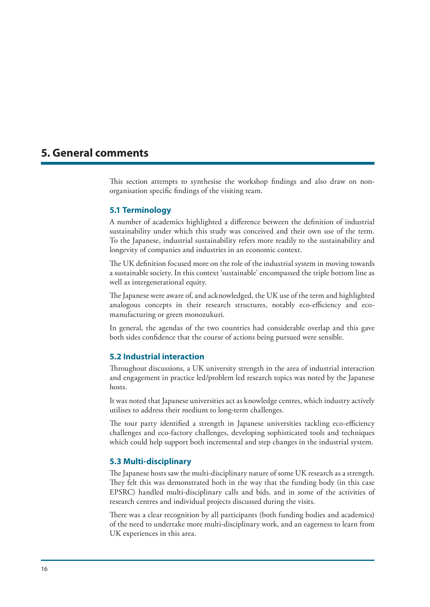## **5. General comments**

This section attempts to synthesise the workshop findings and also draw on nonorganisation specific findings of the visiting team.

#### **5.1 Terminology**

A number of academics highlighted a difference between the definition of industrial sustainability under which this study was conceived and their own use of the term. To the Japanese, industrial sustainability refers more readily to the sustainability and longevity of companies and industries in an economic context.

The UK definition focused more on the role of the industrial system in moving towards a sustainable society. In this context 'sustainable' encompassed the triple bottom line as well as intergenerational equity.

The Japanese were aware of, and acknowledged, the UK use of the term and highlighted analogous concepts in their research structures, notably eco-efficiency and ecomanufacturing or green monozukuri.

In general, the agendas of the two countries had considerable overlap and this gave both sides confidence that the course of actions being pursued were sensible.

#### **5.2 Industrial interaction**

Throughout discussions, a UK university strength in the area of industrial interaction and engagement in practice led/problem led research topics was noted by the Japanese hosts.

It was noted that Japanese universities act as knowledge centres, which industry actively utilises to address their medium to long-term challenges.

The tour party identified a strength in Japanese universities tackling eco-efficiency challenges and eco-factory challenges, developing sophisticated tools and techniques which could help support both incremental and step changes in the industrial system.

#### **5.3 Multi-disciplinary**

The Japanese hosts saw the multi-disciplinary nature of some UK research as a strength. They felt this was demonstrated both in the way that the funding body (in this case EPSRC) handled multi-disciplinary calls and bids, and in some of the activities of research centres and individual projects discussed during the visits.

There was a clear recognition by all participants (both funding bodies and academics) of the need to undertake more multi-disciplinary work, and an eagerness to learn from UK experiences in this area.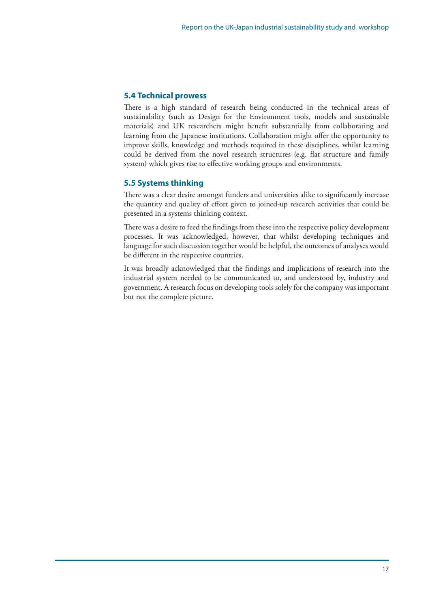#### **5.4 Technical prowess**

There is a high standard of research being conducted in the technical areas of sustainability (such as Design for the Environment tools, models and sustainable materials) and UK researchers might benefit substantially from collaborating and learning from the Japanese institutions. Collaboration might offer the opportunity to improve skills, knowledge and methods required in these disciplines, whilst learning could be derived from the novel research structures (e.g. flat structure and family system) which gives rise to effective working groups and environments.

#### **5.5 Systems thinking**

There was a clear desire amongst funders and universities alike to significantly increase the quantity and quality of effort given to joined-up research activities that could be presented in a systems thinking context.

There was a desire to feed the findings from these into the respective policy development processes. It was acknowledged, however, that whilst developing techniques and language for such discussion together would be helpful, the outcomes of analyses would be different in the respective countries.

It was broadly acknowledged that the findings and implications of research into the industrial system needed to be communicated to, and understood by, industry and government. A research focus on developing tools solely for the company was important but not the complete picture.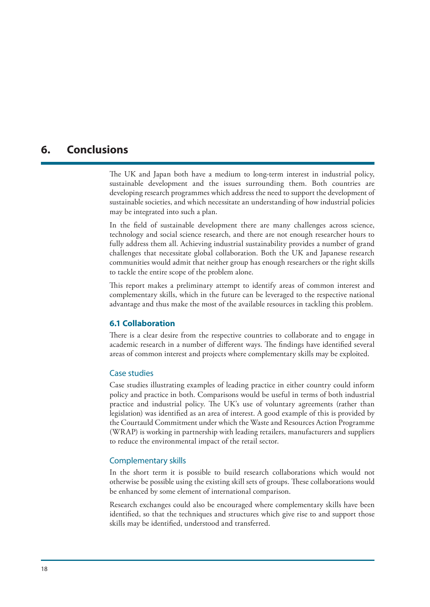## **6. Conclusions**

The UK and Japan both have a medium to long-term interest in industrial policy, sustainable development and the issues surrounding them. Both countries are developing research programmes which address the need to support the development of sustainable societies, and which necessitate an understanding of how industrial policies may be integrated into such a plan.

In the field of sustainable development there are many challenges across science, technology and social science research, and there are not enough researcher hours to fully address them all. Achieving industrial sustainability provides a number of grand challenges that necessitate global collaboration. Both the UK and Japanese research communities would admit that neither group has enough researchers or the right skills to tackle the entire scope of the problem alone.

This report makes a preliminary attempt to identify areas of common interest and complementary skills, which in the future can be leveraged to the respective national advantage and thus make the most of the available resources in tackling this problem.

#### **6.1 Collaboration**

There is a clear desire from the respective countries to collaborate and to engage in academic research in a number of different ways. The findings have identified several areas of common interest and projects where complementary skills may be exploited.

#### Case studies

Case studies illustrating examples of leading practice in either country could inform policy and practice in both. Comparisons would be useful in terms of both industrial practice and industrial policy. The UK's use of voluntary agreements (rather than legislation) was identified as an area of interest. A good example of this is provided by the Courtauld Commitment under which the Waste and Resources Action Programme (WRAP) is working in partnership with leading retailers, manufacturers and suppliers to reduce the environmental impact of the retail sector.

#### Complementary skills

In the short term it is possible to build research collaborations which would not otherwise be possible using the existing skill sets of groups. These collaborations would be enhanced by some element of international comparison.

Research exchanges could also be encouraged where complementary skills have been identified, so that the techniques and structures which give rise to and support those skills may be identified, understood and transferred.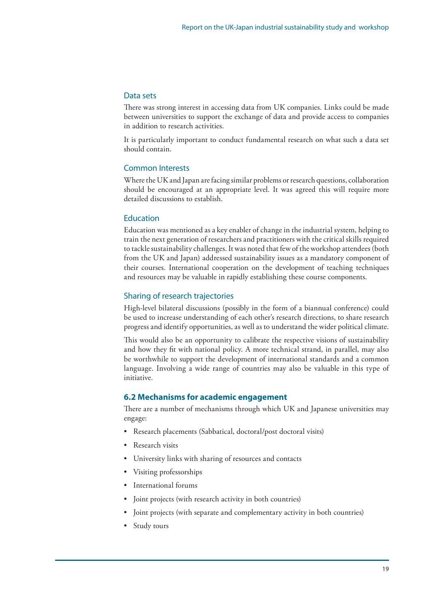#### Data sets

There was strong interest in accessing data from UK companies. Links could be made between universities to support the exchange of data and provide access to companies in addition to research activities.

It is particularly important to conduct fundamental research on what such a data set should contain.

#### Common Interests

Where the UK and Japan are facing similar problems or research questions, collaboration should be encouraged at an appropriate level. It was agreed this will require more detailed discussions to establish.

#### Education

Education was mentioned as a key enabler of change in the industrial system, helping to train the next generation of researchers and practitioners with the critical skills required to tackle sustainability challenges. It was noted that few of the workshop attendees (both from the UK and Japan) addressed sustainability issues as a mandatory component of their courses. International cooperation on the development of teaching techniques and resources may be valuable in rapidly establishing these course components.

#### Sharing of research trajectories

High-level bilateral discussions (possibly in the form of a biannual conference) could be used to increase understanding of each other's research directions, to share research progress and identify opportunities, as well as to understand the wider political climate.

This would also be an opportunity to calibrate the respective visions of sustainability and how they fit with national policy. A more technical strand, in parallel, may also be worthwhile to support the development of international standards and a common language. Involving a wide range of countries may also be valuable in this type of initiative.

#### **6.2 Mechanisms for academic engagement**

There are a number of mechanisms through which UK and Japanese universities may engage:

- Research placements (Sabbatical, doctoral/post doctoral visits)
- Research visits
- University links with sharing of resources and contacts
- Visiting professorships
- International forums
- Joint projects (with research activity in both countries)
- Joint projects (with separate and complementary activity in both countries)
- Study tours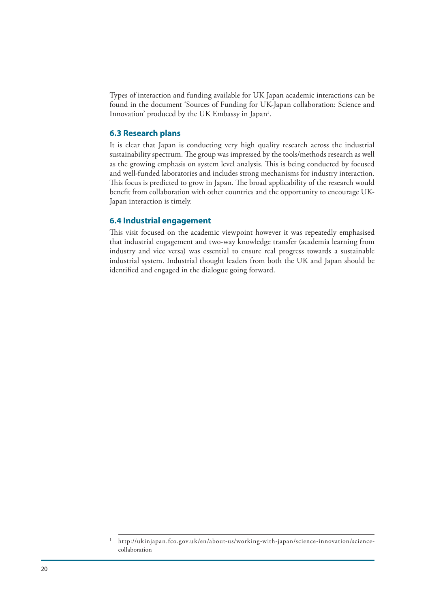Types of interaction and funding available for UK Japan academic interactions can be found in the document 'Sources of Funding for UK-Japan collaboration: Science and Innovation' produced by the UK Embassy in Japan<sup>1</sup>.

#### **6.3 Research plans**

It is clear that Japan is conducting very high quality research across the industrial sustainability spectrum. The group was impressed by the tools/methods research as well as the growing emphasis on system level analysis. This is being conducted by focused and well-funded laboratories and includes strong mechanisms for industry interaction. This focus is predicted to grow in Japan. The broad applicability of the research would benefit from collaboration with other countries and the opportunity to encourage UK-Japan interaction is timely.

#### **6.4 Industrial engagement**

This visit focused on the academic viewpoint however it was repeatedly emphasised that industrial engagement and two-way knowledge transfer (academia learning from industry and vice versa) was essential to ensure real progress towards a sustainable industrial system. Industrial thought leaders from both the UK and Japan should be identified and engaged in the dialogue going forward.

<sup>1</sup> ht tp://ukinjapan.fco.gov.uk /en/about-us/working-with-japan/science-innovation/sciencecollaboration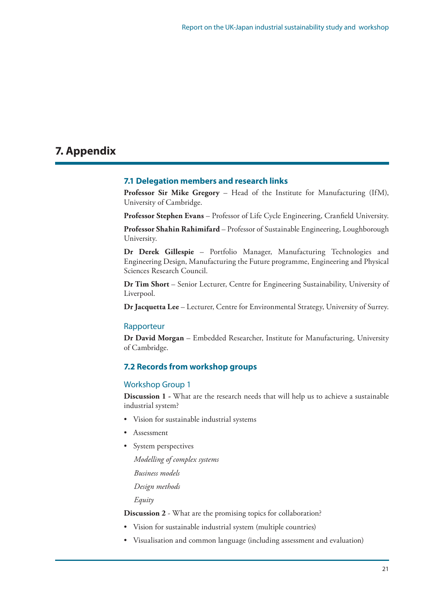# **7. Appendix**

#### **7.1 Delegation members and research links**

**Professor Sir Mike Gregory** – Head of the Institute for Manufacturing (IfM), University of Cambridge.

**Professor Stephen Evans** – Professor of Life Cycle Engineering, Cranfield University.

**Professor Shahin Rahimifard** – Professor of Sustainable Engineering, Loughborough University.

**Dr Derek Gillespie** – Portfolio Manager, Manufacturing Technologies and Engineering Design, Manufacturing the Future programme, Engineering and Physical Sciences Research Council.

**Dr Tim Short** – Senior Lecturer, Centre for Engineering Sustainability, University of Liverpool.

**Dr Jacquetta Lee** – Lecturer, Centre for Environmental Strategy, University of Surrey.

#### Rapporteur

**Dr David Morgan** – Embedded Researcher, Institute for Manufacturing, University of Cambridge.

#### **7.2 Records from workshop groups**

#### Workshop Group 1

**Discussion 1 -** What are the research needs that will help us to achieve a sustainable industrial system?

- Vision for sustainable industrial systems
- **Assessment**
- System perspectives
	- *Modelling of complex systems*

*Business models*

*Design methods*

*Equity*

**Discussion 2** - What are the promising topics for collaboration?

- Vision for sustainable industrial system (multiple countries)
- Visualisation and common language (including assessment and evaluation)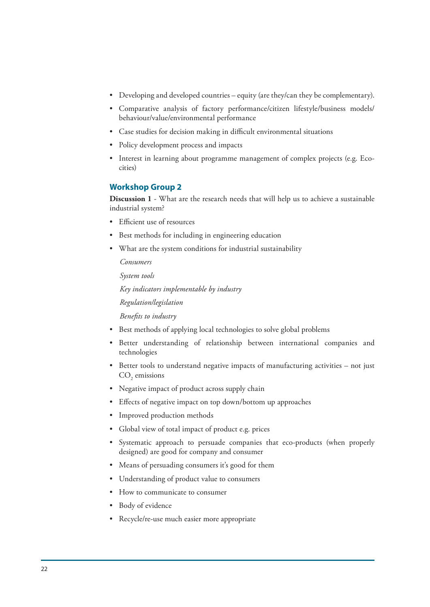- • Developing and developed countries equity (are they/can they be complementary).
- • Comparative analysis of factory performance/citizen lifestyle/business models/ behaviour/value/environmental performance
- • Case studies for decision making in difficult environmental situations
- • Policy development process and impacts
- Interest in learning about programme management of complex projects (e.g. Ecocities)

#### **Workshop Group 2**

**Discussion 1** - What are the research needs that will help us to achieve a sustainable industrial system?

- • Efficient use of resources
- Best methods for including in engineering education
- What are the system conditions for industrial sustainability

*Consumers*

*System tools*

*Key indicators implementable by industry*

*Regulation/legislation*

*Benefits to industry*

- Best methods of applying local technologies to solve global problems
- • Better understanding of relationship between international companies and technologies
- Better tools to understand negative impacts of manufacturing activities not just  $\mathrm{CO}_2$  emissions
- • Negative impact of product across supply chain
- Effects of negative impact on top down/bottom up approaches
- Improved production methods
- • Global view of total impact of product e.g. prices
- • Systematic approach to persuade companies that eco-products (when properly designed) are good for company and consumer
- Means of persuading consumers it's good for them
- • Understanding of product value to consumers
- How to communicate to consumer
- Body of evidence
- Recycle/re-use much easier more appropriate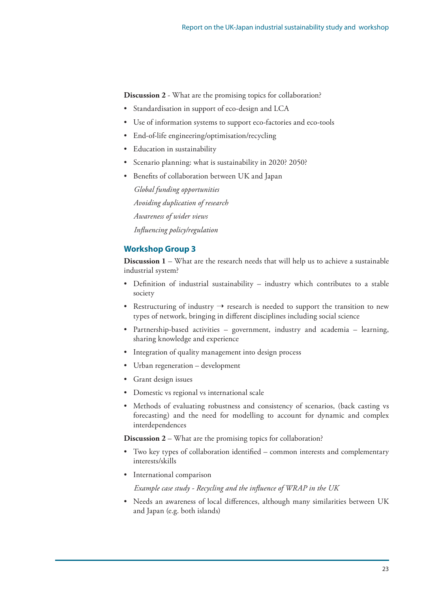**Discussion 2** - What are the promising topics for collaboration?

- Standardisation in support of eco-design and LCA
- Use of information systems to support eco-factories and eco-tools
- End-of-life engineering/optimisation/recycling
- • Education in sustainability
- Scenario planning: what is sustainability in 2020? 2050?
- Benefits of collaboration between UK and Japan

*Global funding opportunities Avoiding duplication of research Awareness of wider views Influencing policy/regulation*

#### **Workshop Group 3**

**Discussion 1** – What are the research needs that will help us to achieve a sustainable industrial system?

- • Definition of industrial sustainability industry which contributes to a stable society
- Restructuring of industry  $\rightarrow$  research is needed to support the transition to new types of network, bringing in different disciplines including social science
- Partnership-based activities government, industry and academia learning, sharing knowledge and experience
- Integration of quality management into design process
- Urban regeneration development
- • Grant design issues
- • Domestic vs regional vs international scale
- Methods of evaluating robustness and consistency of scenarios, (back casting vs forecasting) and the need for modelling to account for dynamic and complex interdependences

**Discussion 2** – What are the promising topics for collaboration?

- Two key types of collaboration identified common interests and complementary interests/skills
- International comparison

*Example case study - Recycling and the influence of WRAP in the UK*

• Needs an awareness of local differences, although many similarities between UK and Japan (e.g. both islands)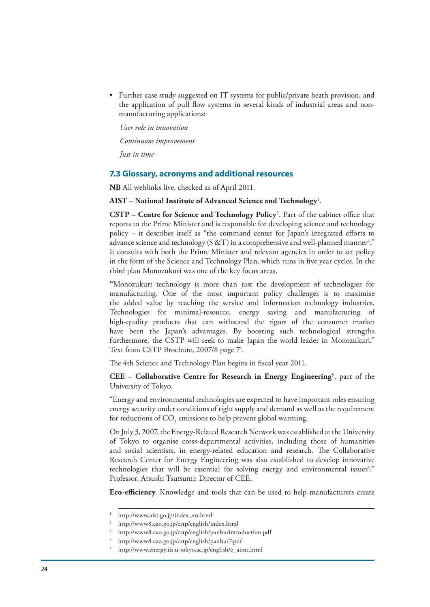• Further case study suggested on IT systems for public/private heath provision, and the application of pull flow systems in several kinds of industrial areas and nonmanufacturing applications:

*User role in innovation Continuous improvement*

*Just in time* 

#### **7.3 Glossary, acronyms and additional resources**

**NB** All weblinks live, checked as of April 2011.

**AIST** – **National Institute of Advanced Science and Technology**<sup>1</sup> .

**CSTP** – **Centre for Science and Technology Policy**<sup>2</sup> . Part of the cabinet office that reports to the Prime Minister and is responsible for developing science and technology policy – it describes itself as "the command center for Japan's integrated efforts to advance science and technology (S &T) in a comprehensive and well-planned manner<sup>3</sup>." It consults with both the Prime Minister and relevant agencies in order to set policy in the form of the Science and Technology Plan, which runs in five year cycles. In the third plan Monozukuri was one of the key focus areas.

**"**Monozukuri technology is more than just the development of technologies for manufacturing. One of the most important policy challenges is to maximise the added value by reaching the service and information technology industries. Technologies for minimal-resource, energy saving and manufacturing of high-quality products that can withstand the rigors of the consumer market have been the Japan's advantages. By boosting such technological strengths furthermore, the CSTP will seek to make Japan the world leader in Monozukuri." Text from CSTP Brochure, 2007/8 page 7<sup>4</sup>.

The 4th Science and Technology Plan begins in fiscal year 2011.

**CEE** – **Collaborative Centre for Research in Energy Engineering**<sup>5</sup>, part of the University of Tokyo.

"Energy and environmental technologies are expected to have important roles ensuring energy security under conditions of tight supply and demand as well as the requirement for reductions of  $\mathrm{CO}_2$  emissions to help prevent global warming.

On July 3, 2007, the Energy-Related Research Network was established at the University of Tokyo to organise cross-departmental activities, including those of humanities and social scientists, in energy-related education and research. The Collaborative Research Center for Energy Engineering was also established to develop innovative technologies that will be essential for solving energy and environmental issues<sup>5</sup>." Professor, Atsushi Tsutsumi; Director of CEE.

**Eco-efficiency**. Knowledge and tools that can be used to help manufacturers create

<sup>1</sup> http://www.aist.go.jp/index\_en.html

<sup>2</sup> http://www8.cao.go.jp/cstp/english/index.html

<sup>3</sup> http://www8.cao.go.jp/cstp/english/panhu/introduction.pdf

<sup>4</sup> http://www8.cao.go.jp/cstp/english/panhu/7.pdf

<sup>5</sup> http://www.energy.iis.u-tokyo.ac.jp/english/e\_aims.html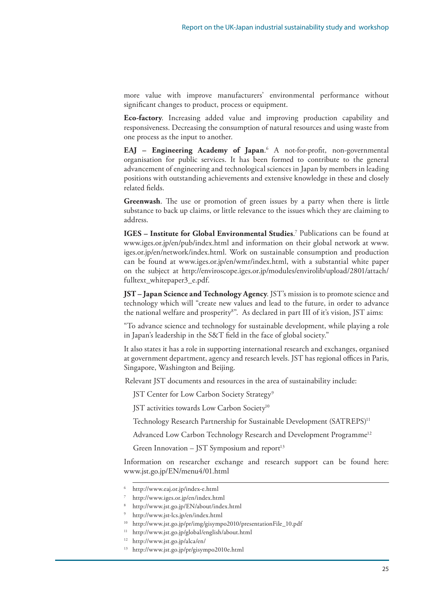more value with improve manufacturers' environmental performance without significant changes to product, process or equipment.

**Eco-factory**. Increasing added value and improving production capability and responsiveness. Decreasing the consumption of natural resources and using waste from one process as the input to another.

**EAJ – Engineering Academy of Japan**. <sup>6</sup> A not-for-profit, non-governmental organisation for public services. It has been formed to contribute to the general advancement of engineering and technological sciences in Japan by members in leading positions with outstanding achievements and extensive knowledge in these and closely related fields.

**Greenwash**. The use or promotion of green issues by a party when there is little substance to back up claims, or little relevance to the issues which they are claiming to address.

**IGES – Institute for Global Environmental Studies**. 7 Publications can be found at www.iges.or.jp/en/pub/index.html and information on their global network at www. iges.or.jp/en/network/index.html. Work on sustainable consumption and production can be found at www.iges.or.jp/en/wmr/index.html, with a substantial white paper on the subject at http://enviroscope.iges.or.jp/modules/envirolib/upload/2801/attach/ fulltext\_whitepaper3\_e.pdf.

**JST – Japan Science and Technology Agency**. JST's mission is to promote science and technology which will "create new values and lead to the future, in order to advance the national welfare and prosperity<sup>8</sup>". As declared in part III of it's vision, JST aims:

"To advance science and technology for sustainable development, while playing a role in Japan's leadership in the S&T field in the face of global society."

It also states it has a role in supporting international research and exchanges, organised at government department, agency and research levels. JST has regional offices in Paris, Singapore, Washington and Beijing.

Relevant JST documents and resources in the area of sustainability include:

JST Center for Low Carbon Society Strategy<sup>9</sup>

JST activities towards Low Carbon Society<sup>10</sup>

Technology Research Partnership for Sustainable Development (SATREPS)<sup>11</sup>

Advanced Low Carbon Technology Research and Development Programme<sup>12</sup>

Green Innovation – JST Symposium and report<sup>13</sup>

Information on researcher exchange and research support can be found here: www.jst.go.jp/EN/menu4/01.html

<sup>6</sup> http://www.eaj.or.jp/index-e.html

<sup>7</sup> http://www.iges.or.jp/en/index.html

<sup>8</sup> http://www.jst.go.jp/EN/about/index.html

<sup>9</sup> http://www.jst-lcs.jp/en/index.html

 $10$  http://www.jst.go.jp/pr/img/gisympo2010/presentationFile\_10.pdf

<sup>&</sup>lt;sup>11</sup> http://www.jst.go.jp/global/english/about.html

<sup>&</sup>lt;sup>12</sup> http://www.jst.go.jp/alca/en/

<sup>13</sup> http://www.jst.go.jp/pr/gisympo2010e.html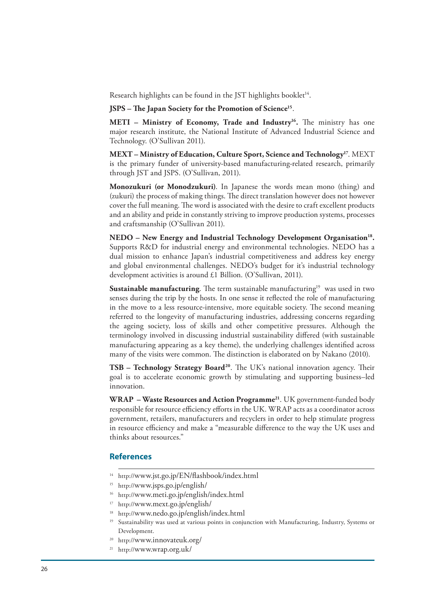Research highlights can be found in the JST highlights booklet<sup>14</sup>.

**JSPS – The Japan Society for the Promotion of Science15**.

**METI** – Ministry of Economy, Trade and Industry<sup>16</sup>. The ministry has one major research institute, the National Institute of Advanced Industrial Science and Technology. (O'Sullivan 2011).

**MEXT – Ministry of Education, Culture Sport, Science and Technology17**. MEXT is the primary funder of university-based manufacturing-related research, primarily through JST and JSPS. (O'Sullivan, 2011).

**Monozukuri (or Monodzukuri)**. In Japanese the words mean mono (thing) and (zukuri) the process of making things. The direct translation however does not however cover the full meaning. The word is associated with the desire to craft excellent products and an ability and pride in constantly striving to improve production systems, processes and craftsmanship (O'Sullivan 2011).

NEDO – New Energy and Industrial Technology Development Organisation<sup>18</sup>. Supports R&D for industrial energy and environmental technologies. NEDO has a dual mission to enhance Japan's industrial competitiveness and address key energy and global environmental challenges. NEDO's budget for it's industrial technology development activities is around £1 Billion. (O'Sullivan, 2011).

**Sustainable manufacturing**. The term sustainable manufacturing<sup>19</sup> was used in two senses during the trip by the hosts. In one sense it reflected the role of manufacturing in the move to a less resource-intensive, more equitable society. The second meaning referred to the longevity of manufacturing industries, addressing concerns regarding the ageing society, loss of skills and other competitive pressures. Although the terminology involved in discussing industrial sustainability differed (with sustainable manufacturing appearing as a key theme), the underlying challenges identified across many of the visits were common. The distinction is elaborated on by Nakano (2010).

**TSB – Technology Strategy Board<sup>20</sup>.** The UK's national innovation agency. Their goal is to accelerate economic growth by stimulating and supporting business–led innovation.

**WRAP – Waste Resources and Action Programme21**. UK government-funded body responsible for resource efficiency efforts in the UK. WRAP acts as a coordinator across government, retailers, manufacturers and recyclers in order to help stimulate progress in resource efficiency and make a "measurable difference to the way the UK uses and thinks about resources."

#### **References**

- <sup>14</sup> http://www.jst.go.jp/EN/flashbook/index.html
- <sup>15</sup> http://www.jsps.go.jp/english/
- <sup>16</sup> http://www.meti.go.jp/english/index.html
- <sup>17</sup> http://www.mext.go.jp/english/
- <sup>18</sup> http://www.nedo.go.jp/english/index.html
- <sup>19</sup> Sustainability was used at various points in conjunction with Manufacturing, Industry, Systems or Development.
- 20 http://www.innovateuk.org/
- <sup>21</sup> http://www.wrap.org.uk/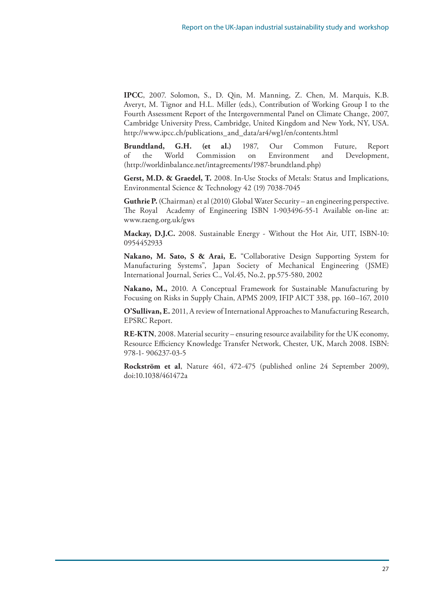**IPCC**, 2007. Solomon, S., D. Qin, M. Manning, Z. Chen, M. Marquis, K.B. Averyt, M. Tignor and H.L. Miller (eds.), Contribution of Working Group I to the Fourth Assessment Report of the Intergovernmental Panel on Climate Change, 2007, Cambridge University Press, Cambridge, United Kingdom and New York, NY, USA. http://www.ipcc.ch/publications\_and\_data/ar4/wg1/en/contents.html

**Brundtland, G.H. (et al.)** 1987, Our Common Future, Report of the World Commission on Environment and Development, (http://worldinbalance.net/intagreements/1987-brundtland.php)

**Gerst, M.D. & Graedel, T.** 2008. In-Use Stocks of Metals: Status and Implications, Environmental Science & Technology 42 (19) 7038-7045

**Guthrie P.** (Chairman) et al (2010) Global Water Security – an engineering perspective. The Royal Academy of Engineering ISBN 1-903496-55-1 Available on-line at: www.raeng.org.uk/gws

**Mackay, D.J.C.** 2008. Sustainable Energy - Without the Hot Air, UIT, ISBN-10: 0954452933

**Nakano, M. Sato, S & Arai, E.** "Collaborative Design Supporting System for Manufacturing Systems", Japan Society of Mechanical Engineering (JSME) International Journal, Series C., Vol.45, No.2, pp.575-580, 2002

**Nakano, M.,** 2010. A Conceptual Framework for Sustainable Manufacturing by Focusing on Risks in Supply Chain, APMS 2009, IFIP AICT 338, pp. 160–167, 2010

**O'Sullivan, E.** 2011, A review of International Approaches to Manufacturing Research, EPSRC Report.

**RE-KTN**, 2008. Material security – ensuring resource availability for the UK economy, Resource Efficiency Knowledge Transfer Network, Chester, UK, March 2008. ISBN: 978-1- 906237-03-5

**Rockström et al**, Nature 461, 472-475 (published online 24 September 2009), doi:10.1038/461472a